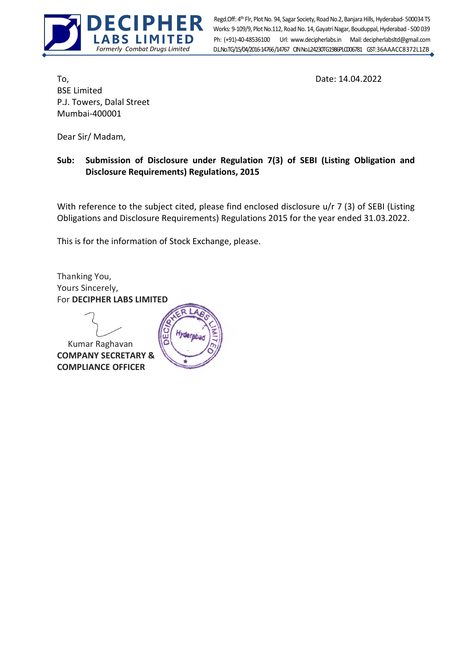

Ph: (+91)-40-48536100 Url: www.decipherlabs.in Mail: decipherlabsltd@gmail.com Works: 9-109/9, Plot No.112, Road No. 14, Gayatri Nagar, Bouduppal, Hyderabad - 500 039 D.L.No.TG/15/04/2016-14766 /14767 CIN No.L24230TG1986PLC006781 GST: 36AAACC8372L1ZB Regd.Off: 4th Flr, Plot No. 94, Sagar Society, Road No.2, Banjara Hills, Hyderabad- 500034 TS

To, 2022 **Date: 14.04.2022** BSE Limited P.J. Towers, Dalal Street Mumbai-400001

Dear Sir/ Madam,

## Sub: Submission of Disclosure under Regulation 7(3) of SEBI (Listing Obligation and Disclosure Requirements) Regulations, 2015

With reference to the subject cited, please find enclosed disclosure u/r 7 (3) of SEBI (Listing Obligations and Disclosure Requirements) Regulations 2015 for the year ended 31.03.2022.

This is for the information of Stock Exchange, please.

Thanking You, Yours Sincerely, For DECIPHER LABS LIMITED

 Kumar Raghavan COMPANY SECRETARY & COMPLIANCE OFFICER